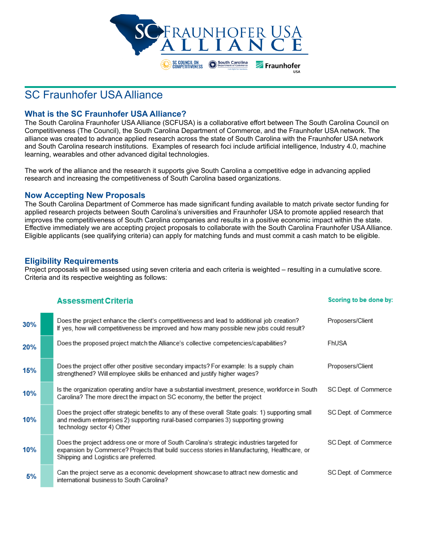

# SC Fraunhofer USA Alliance

#### **What is the SC Fraunhofer USA Alliance?**

The South Carolina Fraunhofer USA Alliance (SCFUSA) is a collaborative effort between The South Carolina Council on Competitiveness (The Council), the South Carolina Department of Commerce, and the Fraunhofer USA network. The alliance was created to advance applied research across the state of South Carolina with the Fraunhofer USA network and South Carolina research institutions. Examples of research foci include artificial intelligence, Industry 4.0, machine learning, wearables and other advanced digital technologies.

The work of the alliance and the research it supports give South Carolina a competitive edge in advancing applied research and increasing the competitiveness of South Carolina based organizations.

#### **Now Accepting New Proposals**

The South Carolina Department of Commerce has made significant funding available to match private sector funding for applied research projects between South Carolina's universities and Fraunhofer USA to promote applied research that improves the competitiveness of South Carolina companies and results in a positive economic impact within the state. Effective immediately we are accepting project proposals to collaborate with the South Carolina Fraunhofer USA Alliance. Eligible applicants (see qualifying criteria) can apply for matching funds and must commit a cash match to be eligible.

#### **Eligibility Requirements**

Project proposals will be assessed using seven criteria and each criteria is weighted – resulting in a cumulative score. Criteria and its respective weighting as follows:

|     | <b>Assessment Criteria</b>                                                                                                                                                                                                         | Scoring to be done by: |
|-----|------------------------------------------------------------------------------------------------------------------------------------------------------------------------------------------------------------------------------------|------------------------|
| 30% | Does the project enhance the client's competitiveness and lead to additional job creation?<br>If yes, how will competitiveness be improved and how many possible new jobs could result?                                            | Proposers/Client       |
| 20% | Does the proposed project match the Alliance's collective competencies/capabilities?                                                                                                                                               | FhUSA                  |
| 15% | Does the project offer other positive secondary impacts? For example: Is a supply chain<br>strengthened? Will employee skills be enhanced and justify higher wages?                                                                | Proposers/Client       |
| 10% | Is the organization operating and/or have a substantial investment, presence, workforce in South<br>Carolina? The more direct the impact on SC economy, the better the project                                                     | SC Dept. of Commerce   |
| 10% | Does the project offer strategic benefits to any of these overall State goals: 1) supporting small<br>and medium enterprises 2) supporting rural-based companies 3) supporting growing<br>technology sector 4) Other               | SC Dept. of Commerce   |
| 10% | Does the project address one or more of South Carolina's strategic industries targeted for<br>expansion by Commerce? Projects that build success stories in Manufacturing, Healthcare, or<br>Shipping and Logistics are preferred. | SC Dept. of Commerce   |
| 5%  | Can the project serve as a economic development showcase to attract new domestic and<br>international business to South Carolina?                                                                                                  | SC Dept. of Commerce   |